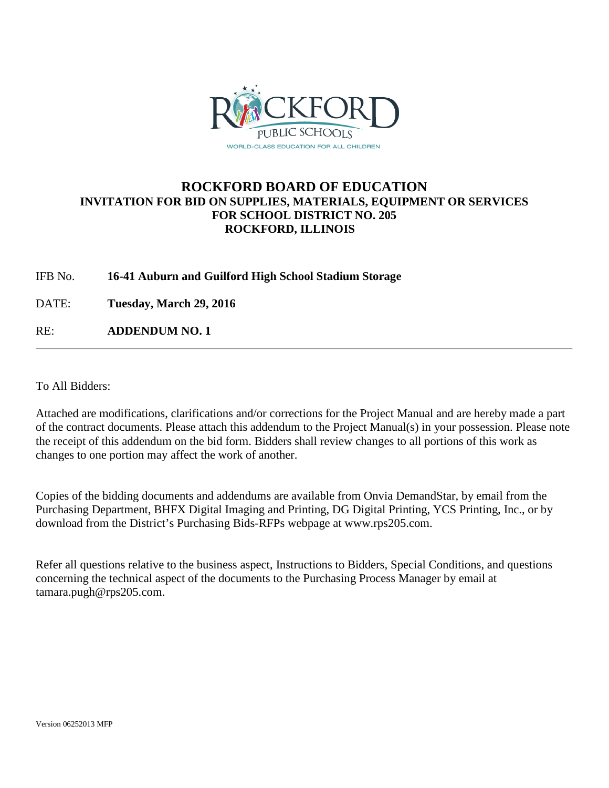

## **ROCKFORD BOARD OF EDUCATION INVITATION FOR BID ON SUPPLIES, MATERIALS, EQUIPMENT OR SERVICES FOR SCHOOL DISTRICT NO. 205 ROCKFORD, ILLINOIS**

## IFB No. **16-41 Auburn and Guilford High School Stadium Storage**

DATE: **Tuesday, March 29, 2016**

RE: **ADDENDUM NO. 1**

To All Bidders:

Attached are modifications, clarifications and/or corrections for the Project Manual and are hereby made a part of the contract documents. Please attach this addendum to the Project Manual(s) in your possession. Please note the receipt of this addendum on the bid form. Bidders shall review changes to all portions of this work as changes to one portion may affect the work of another.

Copies of the bidding documents and addendums are available from Onvia DemandStar, by email from the Purchasing Department, BHFX Digital Imaging and Printing, DG Digital Printing, YCS Printing, Inc., or by download from the District's Purchasing Bids-RFPs webpage at www.rps205.com.

Refer all questions relative to the business aspect, Instructions to Bidders, Special Conditions, and questions concerning the technical aspect of the documents to the Purchasing Process Manager by email at tamara.pugh@rps205.com.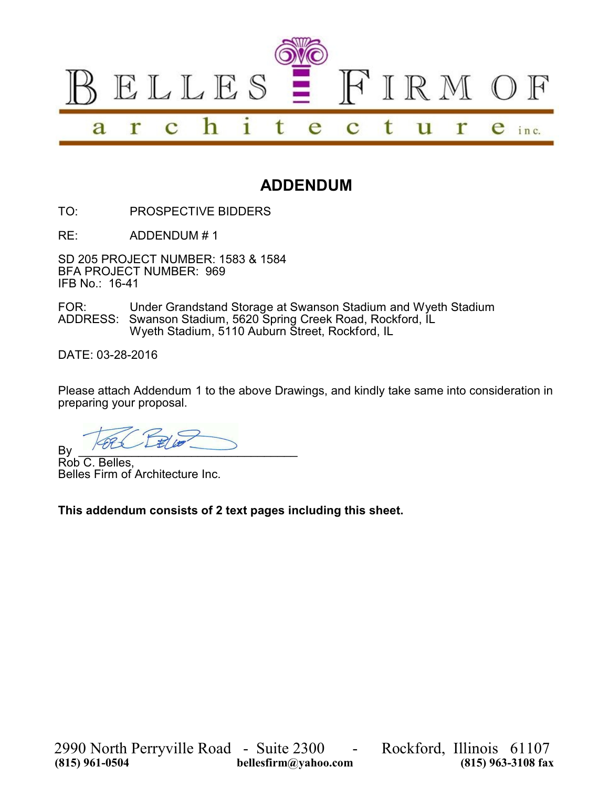

## **ADDENDUM**

TO: PROSPECTIVE BIDDERS

RE: ADDENDUM # 1

SD 205 PROJECT NUMBER: 1583 & 1584 BFA PROJECT NUMBER: 969 IFB No.: 16-41

FOR: Under Grandstand Storage at Swanson Stadium and Wyeth Stadium ADDRESS: Swanson Stadium, 5620 Spring Creek Road, Rockford, IL Wyeth Stadium, 5110 Auburn Street, Rockford, IL

DATE: 03-28-2016

Please attach Addendum 1 to the above Drawings, and kindly take same into consideration in preparing your proposal.

 $By$   $\overline{\phantom{a}}$ 

Rob C. Belles, Belles Firm of Architecture Inc.

**This addendum consists of 2 text pages including this sheet.**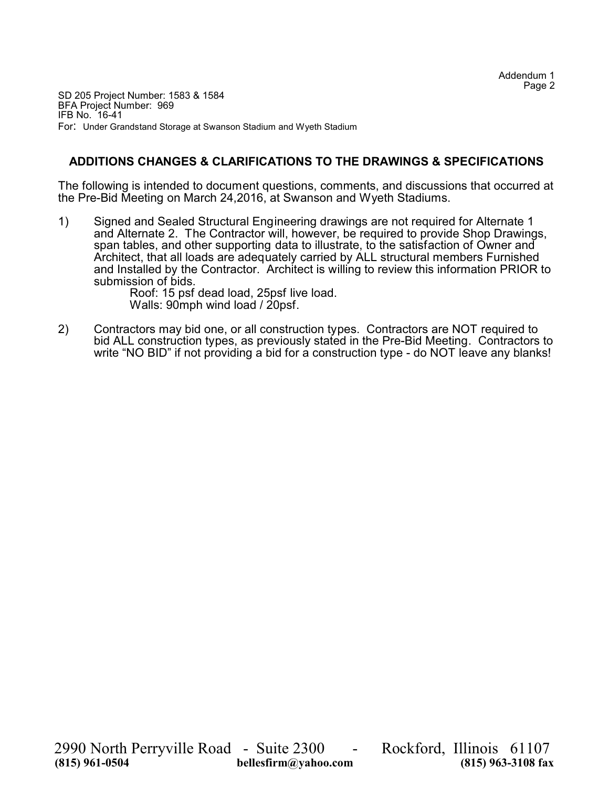SD 205 Project Number: 1583 & 1584 BFA Project Number: 969 IFB No. 16-41 For: Under Grandstand Storage at Swanson Stadium and Wyeth Stadium

## **ADDITIONS CHANGES & CLARIFICATIONS TO THE DRAWINGS & SPECIFICATIONS**

The following is intended to document questions, comments, and discussions that occurred at the Pre-Bid Meeting on March 24,2016, at Swanson and Wyeth Stadiums.

1) Signed and Sealed Structural Engineering drawings are not required for Alternate 1 and Alternate 2. The Contractor will, however, be required to provide Shop Drawings, span tables, and other supporting data to illustrate, to the satisfaction of Owner and Architect, that all loads are adequately carried by ALL structural members Furnished and Installed by the Contractor. Architect is willing to review this information PRIOR to submission of bids.

Roof: 15 psf dead load, 25psf live load. Walls: 90mph wind load / 20psf.

2) Contractors may bid one, or all construction types. Contractors are NOT required to bid ALL construction types, as previously stated in the Pre-Bid Meeting. Contractors to write "NO BID" if not providing a bid for a construction type - do NOT leave any blanks!